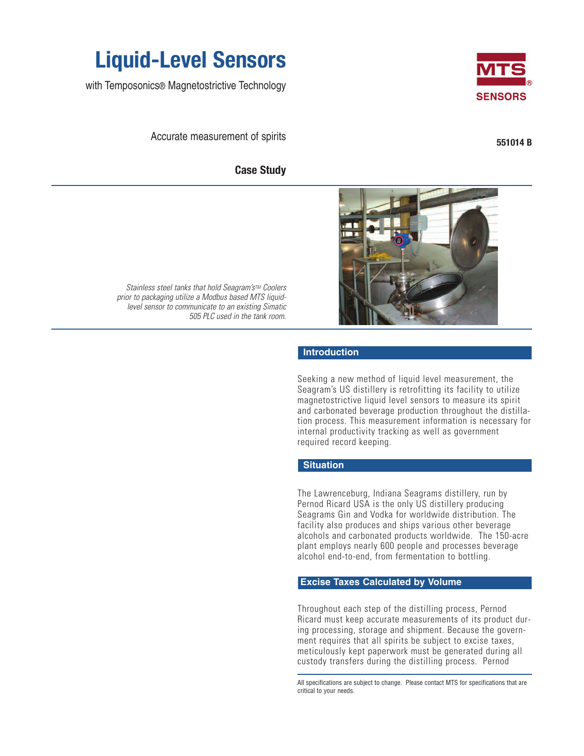

with Temposonics® Magnetostrictive Technology

Accurate measurement of spirits

**Case Study**



**551014 B**



Stainless steel tanks that hold Seagram's™ Coolers prior to packaging utilize a Modbus based MTS liquidlevel sensor to communicate to an existing Simatic 505 PLC used in the tank room.

#### **Introduction**

Seeking a new method of liquid level measurement, the Seagram's US distillery is retrofitting its facility to utilize magnetostrictive liquid level sensors to measure its spirit and carbonated beverage production throughout the distillation process. This measurement information is necessary for internal productivity tracking as well as government required record keeping.

#### **Situation**

The Lawrenceburg, Indiana Seagrams distillery, run by Pernod Ricard USA is the only US distillery producing Seagrams Gin and Vodka for worldwide distribution. The facility also produces and ships various other beverage alcohols and carbonated products worldwide. The 150-acre plant employs nearly 600 people and processes beverage alcohol end-to-end, from fermentation to bottling.

# **Excise Taxes Calculated by Volume**

Throughout each step of the distilling process, Pernod Ricard must keep accurate measurements of its product during processing, storage and shipment. Because the government requires that all spirits be subject to excise taxes, meticulously kept paperwork must be generated during all custody transfers during the distilling process. Pernod

All specifications are subject to change. Please contact MTS for specifications that are critical to your needs.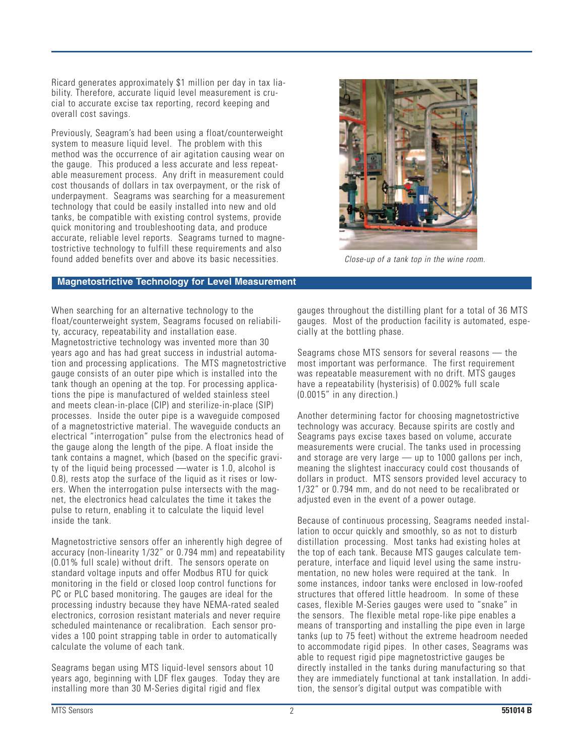Ricard generates approximately \$1 million per day in tax liability. Therefore, accurate liquid level measurement is crucial to accurate excise tax reporting, record keeping and overall cost savings.

Previously, Seagram's had been using a float/counterweight system to measure liquid level. The problem with this method was the occurrence of air agitation causing wear on the gauge. This produced a less accurate and less repeatable measurement process. Any drift in measurement could cost thousands of dollars in tax overpayment, or the risk of underpayment. Seagrams was searching for a measurement technology that could be easily installed into new and old tanks, be compatible with existing control systems, provide quick monitoring and troubleshooting data, and produce accurate, reliable level reports. Seagrams turned to magnetostrictive technology to fulfill these requirements and also found added benefits over and above its basic necessities. Close-up of a tank top in the wine room.



### **Magnetostrictive Technology for Level Measurement**

When searching for an alternative technology to the float/counterweight system, Seagrams focused on reliability, accuracy, repeatability and installation ease. Magnetostrictive technology was invented more than 30 years ago and has had great success in industrial automation and processing applications. The MTS magnetostrictive gauge consists of an outer pipe which is installed into the tank though an opening at the top. For processing applications the pipe is manufactured of welded stainless steel and meets clean-in-place (CIP) and sterilize-in-place (SIP) processes. Inside the outer pipe is a waveguide composed of a magnetostrictive material. The waveguide conducts an electrical "interrogation" pulse from the electronics head of the gauge along the length of the pipe. A float inside the tank contains a magnet, which (based on the specific gravity of the liquid being processed —water is 1.0, alcohol is 0.8), rests atop the surface of the liquid as it rises or lowers. When the interrogation pulse intersects with the magnet, the electronics head calculates the time it takes the pulse to return, enabling it to calculate the liquid level inside the tank.

Magnetostrictive sensors offer an inherently high degree of accuracy (non-linearity 1/32" or 0.794 mm) and repeatability (0.01% full scale) without drift. The sensors operate on standard voltage inputs and offer Modbus RTU for quick monitoring in the field or closed loop control functions for PC or PLC based monitoring. The gauges are ideal for the processing industry because they have NEMA-rated sealed electronics, corrosion resistant materials and never require scheduled maintenance or recalibration. Each sensor provides a 100 point strapping table in order to automatically calculate the volume of each tank.

Seagrams began using MTS liquid-level sensors about 10 years ago, beginning with LDF flex gauges. Today they are installing more than 30 M-Series digital rigid and flex

gauges throughout the distilling plant for a total of 36 MTS gauges. Most of the production facility is automated, especially at the bottling phase.

Seagrams chose MTS sensors for several reasons — the most important was performance. The first requirement was repeatable measurement with no drift. MTS gauges have a repeatability (hysterisis) of 0.002% full scale (0.0015" in any direction.)

Another determining factor for choosing magnetostrictive technology was accuracy. Because spirits are costly and Seagrams pays excise taxes based on volume, accurate measurements were crucial. The tanks used in processing and storage are very large — up to 1000 gallons per inch, meaning the slightest inaccuracy could cost thousands of dollars in product. MTS sensors provided level accuracy to 1/32" or 0.794 mm, and do not need to be recalibrated or adjusted even in the event of a power outage.

Because of continuous processing, Seagrams needed installation to occur quickly and smoothly, so as not to disturb distillation processing. Most tanks had existing holes at the top of each tank. Because MTS gauges calculate temperature, interface and liquid level using the same instrumentation, no new holes were required at the tank. In some instances, indoor tanks were enclosed in low-roofed structures that offered little headroom. In some of these cases, flexible M-Series gauges were used to "snake" in the sensors. The flexible metal rope-like pipe enables a means of transporting and installing the pipe even in large tanks (up to 75 feet) without the extreme headroom needed to accommodate rigid pipes. In other cases, Seagrams was able to request rigid pipe magnetostrictive gauges be directly installed in the tanks during manufacturing so that they are immediately functional at tank installation. In addition, the sensor's digital output was compatible with